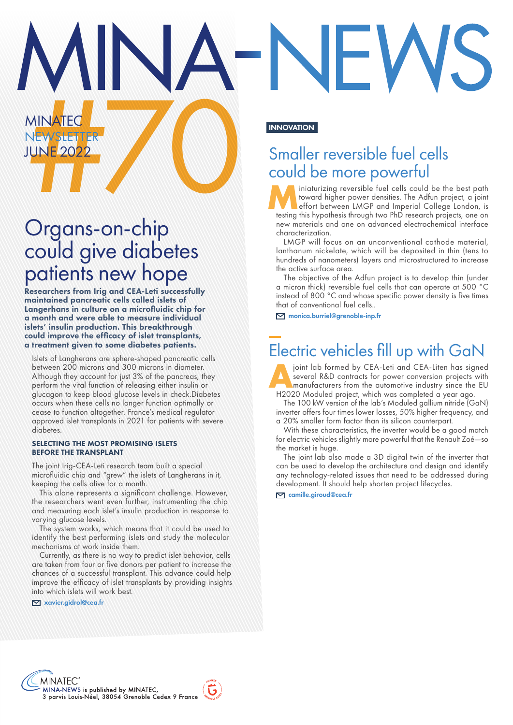# MINATED R<br>
NEW SLEUTER<br>
UNE 2022<br>
Smalle<br>
COULD REVIEW SMALL COULD REVIEW PROVATION Smaller reversible fuel cells could be more powerful

miniaturizing reversible fuel cells could be the best path toward higher power densities. The Adfun project, a joint effort between LMGP and Imperial College London, is testing this hypothesis through two PhD research proj toward higher power densities. The Adfun project, a joint testing this hypothesis through two PhD research projects, one on new materials and one on advanced electrochemical interface characterization.

LMGP will focus on an unconventional cathode material, lanthanum nickelate, which will be deposited in thin (tens to hundreds of nanometers) layers and microstructured to increase the active surface area.

The objective of the Adfun project is to develop thin (under a micron thick) reversible fuel cells that can operate at 500 °C instead of 800 °C and whose specific power density is five times that of conventional fuel cells..

monica.burriel@grenoble-inp.fr

### Electric vehicles fill up with GaN

joint lab formed by CEA-Leti and CEA-Liten has signed several R&D contracts for power conversion projects with manufacturers from the automotive industry since the EU H2020 Moduled project, which was completed a year ago.

The 100 kW version of the lab's Moduled gallium nitride (GaN) inverter offers four times lower losses, 50% higher frequency, and a 20% smaller form factor than its silicon counterpart.

With these characteristics, the inverter would be a good match for electric vehicles slightly more powerful that the Renault Zoé—so the market is huge.

The joint lab also made a 3D digital twin of the inverter that can be used to develop the architecture and design and identify any technology-related issues that need to be addressed during development. It should help shorten project lifecycles.

camille.giroud@cea.fr

# Organs-on-chip could give diabetes patients new hope

**MINATEG** 

**NEWSLETTER** JUNE 2022

Researchers from Irig and CEA-Leti successfully maintained pancreatic cells called islets of Langerhans in culture on a microfluidic chip for a month and were able to measure individual islets' insulin production. This breakthrough could improve the efficacy of islet transplants, a treatment given to some diabetes patients.

Islets of Langherans are sphere-shaped pancreatic cells between 200 microns and 300 microns in diameter. Although they account for just 3% of the pancreas, they perform the vital function of releasing either insulin or glucagon to keep blood glucose levels in check.Diabetes occurs when these cells no longer function optimally or cease to function altogether. France's medical regulator approved islet transplants in 2021 for patients with severe diabetes.

#### SELECTING THE MOST PROMISING ISLETS BEFORE THE TRANSPLANT

The joint Irig-CEA-Leti research team built a special microfluidic chip and "grew" the islets of Langherans in it, keeping the cells alive for a month.

This alone represents a significant challenge. However, the researchers went even further, instrumenting the chip and measuring each islet's insulin production in response to varying glucose levels.

The system works, which means that it could be used to identify the best performing islets and study the molecular mechanisms at work inside them.

Currently, as there is no way to predict islet behavior, cells are taken from four or five donors per patient to increase the chances of a successful transplant. This advance could help improve the efficacy of islet transplants by providing insights into which islets will work best.

xavier.gidrol@cea.fr

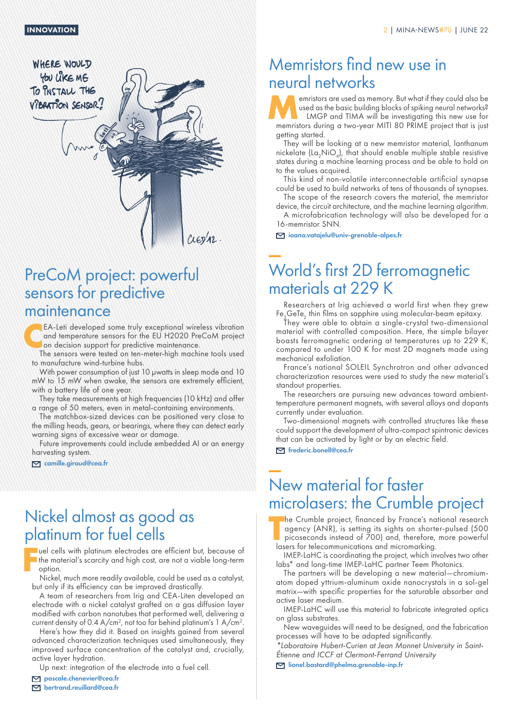

### PreCoM project: powerful sensors for predictive maintenance

EA-Leti developed some truly exceptional wireless vibration<br>and temperature sensors for the EU H2020 PreCoM project<br>on decision support for predictive maintenance.<br>The sensors were tested on ten meter bigh machine tools us and temperature sensors for the EU H2020 PreCoM project on decision support for predictive maintenance.

The sensors were tested on ten-meter-high machine tools used to manufacture wind-turbine hubs.

With power consumption of just 10 µwatts in sleep mode and 10 mW to 15 mW when awake, the sensors are extremely efficient, with a battery life of one year.

They take measurements at high frequencies (10 kHz) and offer a range of 50 meters, even in metal-containing environments.

The matchbox-sized devices can be positioned very close to the milling heads, gears, or bearings, where they can detect early warning signs of excessive wear or damage.

Future improvements could include embedded AI or an energy harvesting system.

camille.giroud@cea.fr

### Nickel almost as good as platinum for fuel cells

**F** uel cells with platinum electrodes are efficient but, because of the material's scarcity and high cost, are not a viable long-term option.

Nickel, much more readily available, could be used as a catalyst, but only if its efficiency can be improved drastically.

A team of researchers from Irig and CEA-Liten developed an electrode with a nickel catalyst grafted on a gas diffusion layer modified with carbon nanotubes that performed well, delivering a current density of 0.4  $A/cm<sup>2</sup>$ , not too far behind platinum's 1  $A/cm<sup>2</sup>$ .

Here's how they did it. Based on insights gained from several advanced characterization techniques used simultaneously, they improved surface concentration of the catalyst and, crucially, active layer hydration.

Up next: integration of the electrode into a fuel cell.

pascale.chenevier@cea.fr bertrand.reuillard@cea.fr

### Memristors find new use in neural networks

**Memristors are used as memory.** But what if they could also be<br>used as the basic building blocks of spiking neural networks?<br>LMGP and TIMA will be investigating this new use for<br>memritters during a two-year MITL80 PRIME p used as the basic building blocks of spiking neural networks? LMGP and TIMA will be investigating this new use for memristors during a two-year MITI 80 PRIME project that is just getting started.

They will be looking at a new memristor material, lanthanum nickelate  $(L\alpha, NiO_4)$ , that should enable multiple stable resistive states during a machine learning process and be able to hold on to the values acquired.

This kind of non-volatile interconnectable artificial synapse could be used to build networks of tens of thousands of synapses.

The scope of the research covers the material, the memristor device, the circuit architecture, and the machine learning algorithm.

A microfabrication technology will also be developed for a 16-memristor SNN.

ioana.vatajelu@univ-grenoble-alpes.fr

### World's first 2D ferromagnetic materials at 229 K

Researchers at Irig achieved a world first when they grew Fe $_{\leq}$ GeTe $_{2}$  thin films on sapphire using molecular-beam epitaxy.

They were able to obtain a single-crystal two-dimensional material with controlled composition. Here, the simple bilayer boasts ferromagnetic ordering at temperatures up to 229 K, compared to under 100 K for most 2D magnets made using mechanical exfoliation.

France's national SOLEIL Synchrotron and other advanced characterization resources were used to study the new material's standout properties.

The researchers are pursuing new advances toward ambienttemperature permanent magnets, with several alloys and dopants currently under evaluation.

Two-dimensional magnets with controlled structures like these could support the development of ultra-compact spintronic devices that can be activated by light or by an electric field.

frederic.bonell@cea.fr

### New material for faster microlasers: the Crumble project

**T** he Crumble project, financed by France's national research agency (ANR), is setting its sights on shorter-pulsed (500 picoseconds instead of 700) and, therefore, more powerful lasers for telecommunications and micromarking.

IMEP-LaHC is coordinating the project, which involves two other labs\* and long-time IMEP-LaHC partner Teem Photonics.

The partners will be developing a new material—chromiumatom doped yttrium-aluminum oxide nanocrystals in a sol-gel matrix—with specific properties for the saturable absorber and active laser medium.

IMEP-LaHC will use this material to fabricate integrated optics on glass substrates.

New waveguides will need to be designed, and the fabrication processes will have to be adapted significantly.

*\*Laboratoire Hubert-Curien at Jean Monnet University in Saint-Étienne and ICCF at Clermont-Ferrand University*

M lionel.bastard@phelma.grenoble-inp.fr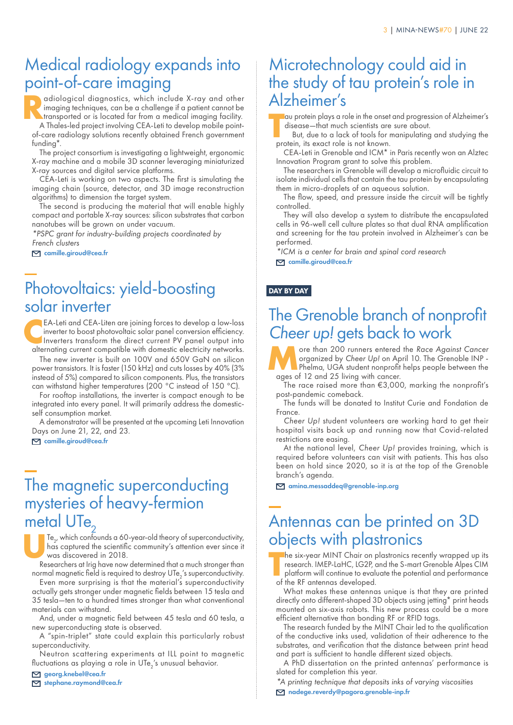### Medical radiology expands into point-of-care imaging

**Radiological diagnostics, which include X-ray and other imaging techniques, can be a challenge if a patient cannot be transported or is located far from a medical imaging facility.<br>A Thales-led project involving CEA-let t** imaging techniques, can be a challenge if a patient cannot be A Thales-led project involving CEA-Leti to develop mobile point-

of-care radiology solutions recently obtained French government funding\*.

The project consortium is investigating a lightweight, ergonomic X-ray machine and a mobile 3D scanner leveraging miniaturized X-ray sources and digital service platforms.

CEA-Leti is working on two aspects. The first is simulating the imaging chain (source, detector, and 3D image reconstruction algorithms) to dimension the target system.

The second is producing the material that will enable highly compact and portable X-ray sources: silicon substrates that carbon nanotubes will be grown on under vacuum.

*\*PSPC grant for industry-building projects coordinated by French clusters*

camille.giroud@cea.fr

# Photovoltaics: yield-boosting solar inverter

**C**EA-Leti and CEA-Liten are joining forces to develop a low-loss inverter to boost photovoltaic solar panel conversion efficiency. Inverters transform the direct current PV panel output into alternating current compatible with domestic electricity networks.

The new inverter is built on 100V and 650V GaN on silicon power transistors. It is faster (150 kHz) and cuts losses by 40% (3% instead of 5%) compared to silicon components. Plus, the transistors can withstand higher temperatures (200 °C instead of 150 °C).

For rooftop installations, the inverter is compact enough to be integrated into every panel. It will primarily address the domesticself consumption market.

A demonstrator will be presented at the upcoming Leti Innovation Days on June 21, 22, and 23.

camille.giroud@cea.fr

### The magnetic superconducting mysteries of heavy-fermion metal UTe

Te<sub>2</sub><br>
ha:<br>
wa<br>
Reser  $Te_{2}$ , which confounds a 60-year-old theory of superconductivity, has captured the scientific community's attention ever since it was discovered in 2018.

Researchers at Irig have now determined that a much stronger than normal magnetic field is required to destroy UTe<sub>2</sub>'s superconductivity.

Even more surprising is that the material's superconductivity actually gets stronger under magnetic fields between 15 tesla and 35 tesla—ten to a hundred times stronger than what conventional materials can withstand.

And, under a magnetic field between 45 tesla and 60 tesla, a new superconducting state is observed.

A "spin-triplet" state could explain this particularly robust superconductivity.

Neutron scattering experiments at ILL point to magnetic fluctuations as playing a role in UTe<sub>2</sub>'s unusual behavior.

georg.knebel@cea.fr

stephane.raymond@cea.fr

### Microtechnology could aid in the study of tau protein's role in Alzheimer's

**T** au protein plays a role in the onset and progression of Alzheimer's disease—that much scientists are sure about.

But, due to a lack of tools for manipulating and studying the protein, its exact role is not known.

CEA-Leti in Grenoble and ICM\* in Paris recently won an Alztec Innovation Program grant to solve this problem.

The researchers in Grenoble will develop a microfluidic circuit to isolate individual cells that contain the tau protein by encapsulating them in micro-droplets of an aqueous solution.

The flow, speed, and pressure inside the circuit will be tightly controlled.

They will also develop a system to distribute the encapsulated cells in 96-well cell culture plates so that dual RNA amplification and screening for the tau protein involved in Alzheimer's can be performed.

*\*ICM is a center for brain and spinal cord research*

camille.giroud@cea.fr

### DAY BY DAY

# The Grenoble branch of nonprofit *Cheer up!* gets back to work

Frace than 200 runners entered the *Race Against Cancer* organized by *Cheer Up!* on April 10. The Grenoble INP -<br>Phelma, UGA student nonprofit helps people between the<br>grees of 12 and 25 living with cancer organized by *Cheer Up!* on April 10. The Grenoble INP - Phelma, UGA student nonprofit helps people between the ages of 12 and 25 living with cancer.

The race raised more than €3,000, marking the nonprofit's post-pandemic comeback.

The funds will be donated to Institut Curie and Fondation de France.

*Cheer Up!* student volunteers are working hard to get their hospital visits back up and running now that Covid-related restrictions are easing.

At the national level, *Cheer Up!* provides training, which is required before volunteers can visit with patients. This has also been on hold since 2020, so it is at the top of the Grenoble branch's agenda.

amina.messaddeq@grenoble-inp.org

### Antennas can be printed on 3D objects with plastronics

**T** he six-year MINT Chair on plastronics recently wrapped up its research. IMEP-LaHC, LG2P, and the S-mart Grenoble Alpes CIM platform will continue to evaluate the potential and performance of the RF antennas developed.

What makes these antennas unique is that they are printed directly onto different-shaped 3D objects using jetting\* print heads mounted on six-axis robots. This new process could be a more efficient alternative than bonding RF or RFID tags.

The research funded by the MINT Chair led to the qualification of the conductive inks used, validation of their adherence to the substrates, and verification that the distance between print head and part is sufficient to handle different sized objects.

A PhD dissertation on the printed antennas' performance is slated for completion this year.

*\*A printing technique that deposits inks of varying viscosities* nadege.reverdy@pagora.grenoble-inp.fr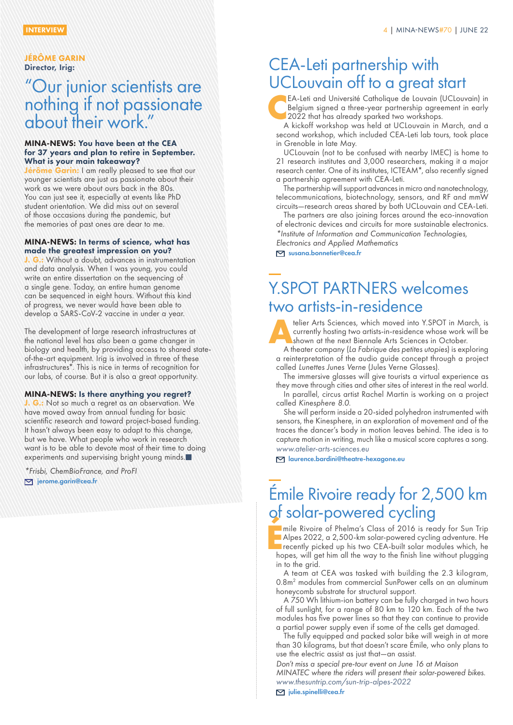#### JÉRÔME GARIN Director, Irig:

### "Our junior scientists are nothing if not passionate about their work."

#### MINA-NEWS: You have been at the CEA for 37 years and plan to retire in September. What is your main takeaway?

**Sme Garin:** I am really pleased to see that our younger scientists are just as passionate about their work as we were about ours back in the 80s. You can just see it, especially at events like PhD student orientation. We did miss out on several of those occasions during the pandemic, but the memories of past ones are dear to me.

#### MINA-NEWS: In terms of science, what has made the greatest impression on you?

: Without a doubt, advances in instrumentation and data analysis. When I was young, you could write an entire dissertation on the sequencing of a single gene. Today, an entire human genome can be sequenced in eight hours. Without this kind of progress, we never would have been able to develop a SARS-CoV-2 vaccine in under a year.

The development of large research infrastructures at the national level has also been a game changer in biology and health, by providing access to shared stateof-the-art equipment. Irig is involved in three of these infrastructures\*. This is nice in terms of recognition for our labs, of course. But it is also a great opportunity.

#### MINA-NEWS: Is there anything you regret?

**G.:** Not so much a regret as an observation. We have moved away from annual funding for basic scientific research and toward project-based funding. It hasn't always been easy to adapt to this change, but we have. What people who work in research want is to be able to devote most of their time to doing experiments and supervising bright young minds.

*\*Frisbi, ChemBioFrance, and ProFI* **D** jerome.garin@cea.fr

### CEA-Leti partnership with UCLouvain off to a great start

**C**EA-Leti and Université Catholique de Louvain (UCLouvain) in Belgium signed a three-year partnership agreement in early 2022 that has already sparked two workshops.

A kickoff workshop was held at UCLouvain in March, and a second workshop, which included CEA-Leti lab tours, took place in Grenoble in late May.

UCLouvain (not to be confused with nearby IMEC) is home to 21 research institutes and 3,000 researchers, making it a major research center. One of its institutes, ICTEAM\*, also recently signed a partnership agreement with CEA-Leti.

The partnership will support advances in micro and nanotechnology, telecommunications, biotechnology, sensors, and RF and mmW circuits—research areas shared by both UCLouvain and CEA-Leti.

The partners are also joining forces around the eco-innovation of electronic devices and circuits for more sustainable electronics.

*\*Institute of Information and Communication Technologies,* 

*Electronics and Applied Mathematics*

susana.bonnetier@cea.fr

# Y.SPOT PARTNERS welcomes two artists-in-residence



**A**telier Arts Sciences, which moved into Y.SPOT in March, is currently hosting two artists-in-residence whose work will be shown at the next Biennale Arts Sciences in October.

A theater company (*La Fabrique des petites utopies*) is exploring a reinterpretation of the audio guide concept through a project called *Lunettes Junes Verne* (Jules Verne Glasses).

The immersive glasses will give tourists a virtual experience as they move through cities and other sites of interest in the real world.

In parallel, circus artist Rachel Martin is working on a project called *Kinesphere 8.0*.

She will perform inside a 20-sided polyhedron instrumented with sensors, the Kinesphere, in an exploration of movement and of the traces the dancer's body in motion leaves behind. The idea is to capture motion in writing, much like a musical score captures a song. *[www.atelier-arts-sciences.eu](http://www.atelier-arts-sciences.eu)*

laurence.bardini@theatre-hexagone.eu

### Émile Rivoire ready for 2,500 km of solar-powered cycling **<sup>É</sup>**

mile Rivoire of Phelma's Class of 2016 is ready for Sun Trip Alpes 2022, a 2,500-km solar-powered cycling adventure. He recently picked up his two CEA-built solar modules which, he hopes, will get him all the way to the finish line without plugging in to the grid.

A team at CEA was tasked with building the 2.3 kilogram, 0.8m<sup>2</sup> modules from commercial SunPower cells on an aluminum honeycomb substrate for structural support.

A 750 Wh lithium-ion battery can be fully charged in two hours of full sunlight, for a range of 80 km to 120 km. Each of the two modules has five power lines so that they can continue to provide a partial power supply even if some of the cells get damaged.

The fully equipped and packed solar bike will weigh in at more than 30 kilograms, but that doesn't scare Émile, who only plans to use the electric assist as just that—an assist.

*Don't miss a special pre-tour event on June 16 at Maison MINATEC where the riders will present their solar-powered bikes. [www.thesuntrip.com/sun-trip-alpes-2022](http://www.thesuntrip.com/sun-trip-alpes-2022/)*

 $\triangleright$ iulie.spinelli@cea.fr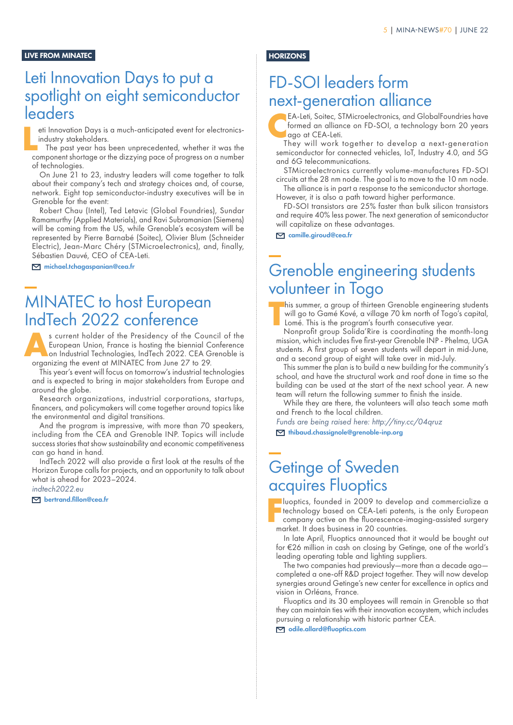#### LIVE FROM MINATEC

### Leti Innovation Days to put a spotlight on eight semiconductor leaders

eti Innovation Days is a much-anticipated event for electronicsindustry stakeholders.

**L** The past year has been unprecedented, whether it was the component shortage or the dizzying pace of progress on a number of technologies.

On June 21 to 23, industry leaders will come together to talk about their company's tech and strategy choices and, of course, network. Eight top semiconductor-industry executives will be in Grenoble for the event:

Robert Chau (Intel), Ted Letavic (Global Foundries), Sundar Ramamurthy (Applied Materials), and Ravi Subramanian (Siemens) will be coming from the US, while Grenoble's ecosystem will be represented by Pierre Barnabé (Soitec), Olivier Blum (Schneider Electric), Jean-Marc Chéry (STMicroelectronics), and, finally, Sébastien Dauvé, CEO of CEA-Leti.

michael.tchagaspanian@cea.fr

### MINATEC to host European IndTech 2022 conference

**As current holder of the Presidency of the Council of the European Union, France is hosting the biennial Conference on Industrial Technologies, IndTech 2022. CEA Grenoble is approximately the event of MINATEC from June 27** European Union, France is hosting the biennial Conference organizing the event at MINATEC from June 27 to 29.

This year's event will focus on tomorrow's industrial technologies and is expected to bring in major stakeholders from Europe and around the globe.

Research organizations, industrial corporations, startups, financers, and policymakers will come together around topics like the environmental and digital transitions.

And the program is impressive, with more than 70 speakers, including from the CEA and Grenoble INP. Topics will include success stories that show sustainability and economic competitiveness can go hand in hand.

IndTech 2022 will also provide a first look at the results of the Horizon Europe calls for projects, and an opportunity to talk about what is ahead for 2023–2024.

*[indtech2022.eu](https://indtech2022.eu)*

bertrand.fillon@cea.fr

### **HORIZONS**

### FD-SOI leaders form next-generation alliance

**C**EA-Leti, Soitec, STMicroelectronics, and GlobalFoundries have formed an alliance on FD-SOI, a technology born 20 years ago at CEA-Leti.

They will work together to develop a next-generation semiconductor for connected vehicles, IoT, Industry 4.0, and 5G and 6G telecommunications.

STMicroelectronics currently volume-manufactures FD-SOI circuits at the 28 nm node. The goal is to move to the 10 nm node.

The alliance is in part a response to the semiconductor shortage. However, it is also a path toward higher performance.

FD-SOI transistors are 25% faster than bulk silicon transistors and require 40% less power. The next generation of semiconductor will capitalize on these advantages.

camille.giroud@cea.fr

### Grenoble engineering students volunteer in Togo

**T** his summer, a group of thirteen Grenoble engineering students will go to Gamé Kové, a village 70 km north of Togo's capital, Lomé. This is the program's fourth consecutive year.

Nonprofit group Solida'Rire is coordinating the month-long mission, which includes five first-year Grenoble INP - Phelma, UGA students. A first group of seven students will depart in mid-June, and a second group of eight will take over in mid-July.

This summer the plan is to build a new building for the community's school, and have the structural work and roof done in time so the building can be used at the start of the next school year. A new team will return the following summer to finish the inside.

While they are there, the volunteers will also teach some math and French to the local children.

*Funds are being raised here: http://tiny.cc/04qruz* 

thibaud.chassignole@grenoble-inp.org

### Getinge of Sweden acquires Fluoptics

**F** luoptics, founded in 2009 to develop and commercialize a technology based on CEA-Leti patents, is the only European company active on the fluorescence-imaging-assisted surgery market. It does business in 20 countries.

In late April, Fluoptics announced that it would be bought out for €26 million in cash on closing by Getinge, one of the world's leading operating table and lighting suppliers.

The two companies had previously—more than a decade ago completed a one-off R&D project together. They will now develop synergies around Getinge's new center for excellence in optics and vision in Orléans, France.

Fluoptics and its 30 employees will remain in Grenoble so that they can maintain ties with their innovation ecosystem, which includes pursuing a relationship with historic partner CEA.

odile.allard@fluoptics.com